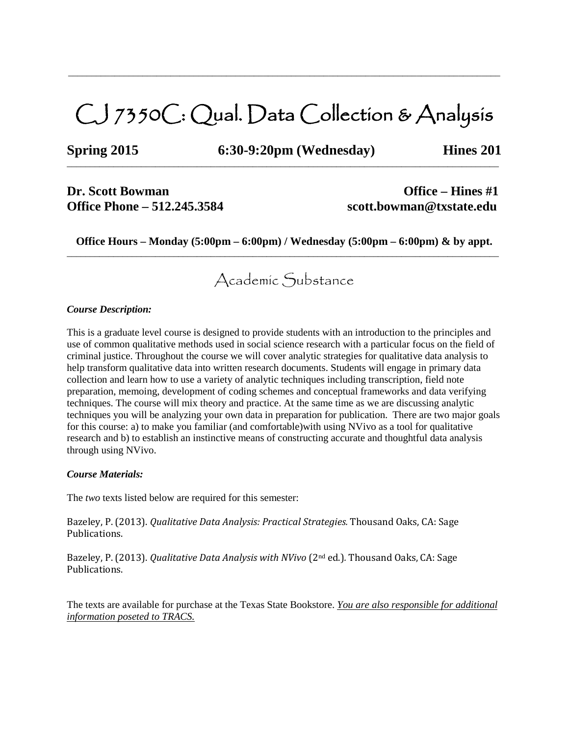# CJ 7350C: Qual. Data Collection & Analysis

\_\_\_\_\_\_\_\_\_\_\_\_\_\_\_\_\_\_\_\_\_\_\_\_\_\_\_\_\_\_\_\_\_\_\_\_\_\_\_\_\_\_\_\_\_\_\_\_\_\_\_\_\_\_\_\_\_\_\_\_\_\_\_\_\_\_\_\_\_\_\_\_\_\_\_\_\_\_\_\_\_\_\_\_\_\_\_\_\_\_\_\_\_

 $\_$  ,  $\_$  ,  $\_$  ,  $\_$  ,  $\_$  ,  $\_$  ,  $\_$  ,  $\_$  ,  $\_$  ,  $\_$  ,  $\_$  ,  $\_$  ,  $\_$  ,  $\_$  ,  $\_$  ,  $\_$  ,  $\_$  ,  $\_$  ,  $\_$  ,  $\_$  ,  $\_$  ,  $\_$  ,  $\_$  ,  $\_$  ,  $\_$  ,  $\_$  ,  $\_$  ,  $\_$  ,  $\_$  ,  $\_$  ,  $\_$  ,  $\_$  ,  $\_$  ,  $\_$  ,  $\_$  ,  $\_$  ,  $\_$  ,

**Spring 2015 6:30-9:20pm (Wednesday) Hines 201**

## **Dr.** Scott Bowman **Office** – **Hines** #1 **Office Phone – 512.245.3584 scott.bowman@txstate.edu**

**Office Hours – Monday (5:00pm – 6:00pm) / Wednesday (5:00pm – 6:00pm) & by appt.** \_\_\_\_\_\_\_\_\_\_\_\_\_\_\_\_\_\_\_\_\_\_\_\_\_\_\_\_\_\_\_\_\_\_\_\_\_\_\_\_\_\_\_\_\_\_\_\_\_\_\_\_\_\_\_\_\_\_\_\_\_\_\_\_\_\_\_\_\_\_\_\_\_\_\_\_\_\_\_\_\_\_\_\_\_\_\_\_\_\_\_\_\_

# Academic Substance

#### *Course Description:*

This is a graduate level course is designed to provide students with an introduction to the principles and use of common qualitative methods used in social science research with a particular focus on the field of criminal justice. Throughout the course we will cover analytic strategies for qualitative data analysis to help transform qualitative data into written research documents. Students will engage in primary data collection and learn how to use a variety of analytic techniques including transcription, field note preparation, memoing, development of coding schemes and conceptual frameworks and data verifying techniques. The course will mix theory and practice. At the same time as we are discussing analytic techniques you will be analyzing your own data in preparation for publication. There are two major goals for this course: a) to make you familiar (and comfortable)with using NVivo as a tool for qualitative research and b) to establish an instinctive means of constructing accurate and thoughtful data analysis through using NVivo.

#### *Course Materials:*

The *two* texts listed below are required for this semester:

Bazeley, P. (2013). *Qualitative Data Analysis: Practical Strategies.* Thousand Oaks, CA: Sage Publications.

Bazeley, P. (2013). *Qualitative Data Analysis with NVivo* (2nd ed.)*.* Thousand Oaks, CA: Sage Publications.

The texts are available for purchase at the Texas State Bookstore. *You are also responsible for additional information poseted to TRACS.*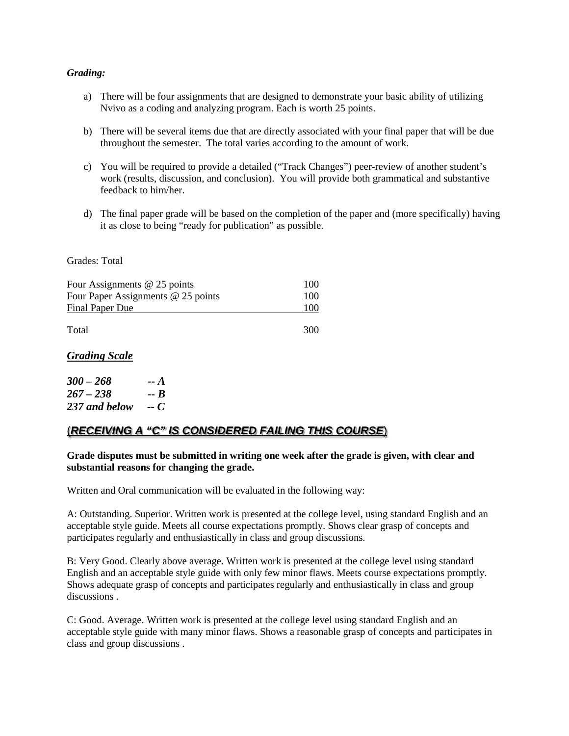#### *Grading:*

- a) There will be four assignments that are designed to demonstrate your basic ability of utilizing Nvivo as a coding and analyzing program. Each is worth 25 points.
- b) There will be several items due that are directly associated with your final paper that will be due throughout the semester. The total varies according to the amount of work.
- c) You will be required to provide a detailed ("Track Changes") peer-review of another student's work (results, discussion, and conclusion). You will provide both grammatical and substantive feedback to him/her.
- d) The final paper grade will be based on the completion of the paper and (more specifically) having it as close to being "ready for publication" as possible.

#### Grades: Total

| Four Assignments $@$ 25 points     | 100 |
|------------------------------------|-----|
| Four Paper Assignments @ 25 points | 100 |
| <b>Final Paper Due</b>             | 100 |
|                                    |     |

Total 300

#### *Grading Scale*

| $300 - 268$   | -- A |
|---------------|------|
| $267 - 238$   | -- B |
| 237 and below | -- C |

## (*RECEIVING A "C" IS CONSIDERED FAILING THIS COURSE*)

**Grade disputes must be submitted in writing one week after the grade is given, with clear and substantial reasons for changing the grade.** 

Written and Oral communication will be evaluated in the following way:

A: Outstanding. Superior. Written work is presented at the college level, using standard English and an acceptable style guide. Meets all course expectations promptly. Shows clear grasp of concepts and participates regularly and enthusiastically in class and group discussions.

B: Very Good. Clearly above average. Written work is presented at the college level using standard English and an acceptable style guide with only few minor flaws. Meets course expectations promptly. Shows adequate grasp of concepts and participates regularly and enthusiastically in class and group discussions .

C: Good. Average. Written work is presented at the college level using standard English and an acceptable style guide with many minor flaws. Shows a reasonable grasp of concepts and participates in class and group discussions .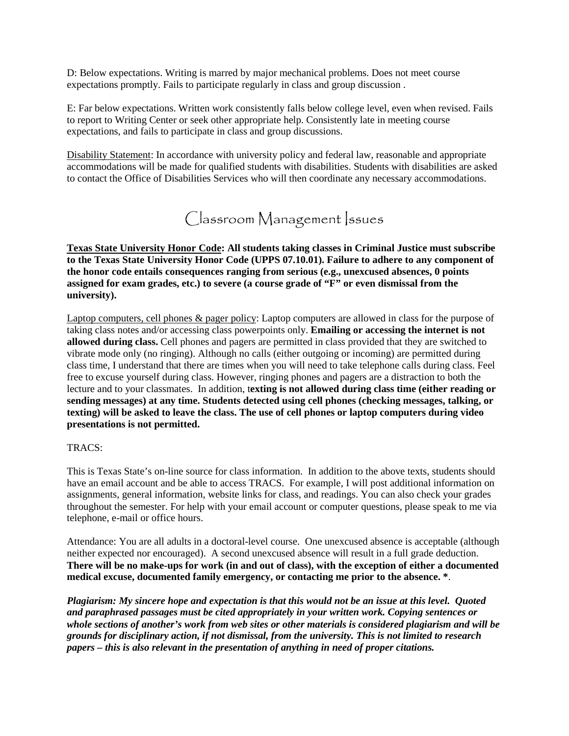D: Below expectations. Writing is marred by major mechanical problems. Does not meet course expectations promptly. Fails to participate regularly in class and group discussion .

E: Far below expectations. Written work consistently falls below college level, even when revised. Fails to report to Writing Center or seek other appropriate help. Consistently late in meeting course expectations, and fails to participate in class and group discussions.

Disability Statement: In accordance with university policy and federal law, reasonable and appropriate accommodations will be made for qualified students with disabilities. Students with disabilities are asked to contact the Office of Disabilities Services who will then coordinate any necessary accommodations.

Classroom Management Issues

**Texas State University Honor Code: All students taking classes in Criminal Justice must subscribe to the Texas State University Honor Code (UPPS 07.10.01). Failure to adhere to any component of the honor code entails consequences ranging from serious (e.g., unexcused absences, 0 points assigned for exam grades, etc.) to severe (a course grade of "F" or even dismissal from the university).**

Laptop computers, cell phones & pager policy: Laptop computers are allowed in class for the purpose of taking class notes and/or accessing class powerpoints only. **Emailing or accessing the internet is not allowed during class.** Cell phones and pagers are permitted in class provided that they are switched to vibrate mode only (no ringing). Although no calls (either outgoing or incoming) are permitted during class time, I understand that there are times when you will need to take telephone calls during class. Feel free to excuse yourself during class. However, ringing phones and pagers are a distraction to both the lecture and to your classmates. In addition, t**exting is not allowed during class time (either reading or sending messages) at any time. Students detected using cell phones (checking messages, talking, or texting) will be asked to leave the class. The use of cell phones or laptop computers during video presentations is not permitted.**

#### TRACS:

This is Texas State's on-line source for class information. In addition to the above texts, students should have an email account and be able to access TRACS. For example, I will post additional information on assignments, general information, website links for class, and readings. You can also check your grades throughout the semester. For help with your email account or computer questions, please speak to me via telephone, e-mail or office hours.

Attendance: You are all adults in a doctoral-level course. One unexcused absence is acceptable (although neither expected nor encouraged). A second unexcused absence will result in a full grade deduction. **There will be no make-ups for work (in and out of class), with the exception of either a documented medical excuse, documented family emergency, or contacting me prior to the absence. \***.

*Plagiarism: My sincere hope and expectation is that this would not be an issue at this level. Quoted and paraphrased passages must be cited appropriately in your written work. Copying sentences or whole sections of another's work from web sites or other materials is considered plagiarism and will be grounds for disciplinary action, if not dismissal, from the university. This is not limited to research papers – this is also relevant in the presentation of anything in need of proper citations.*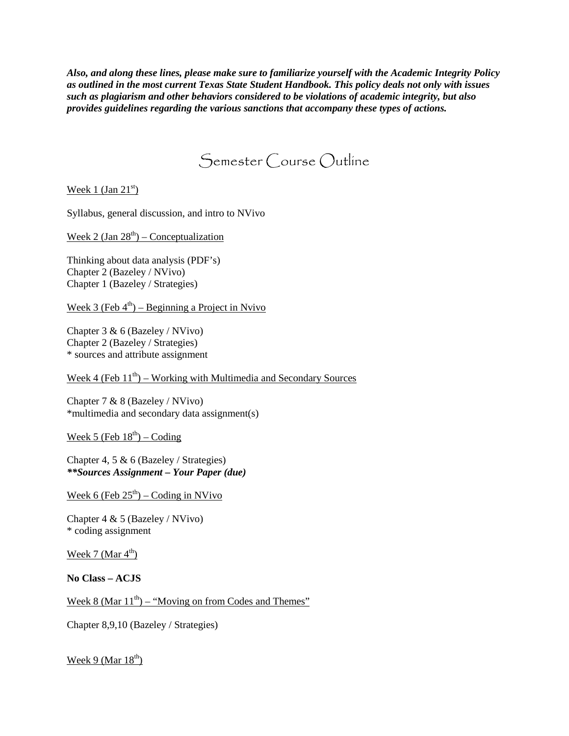*Also, and along these lines, please make sure to familiarize yourself with the Academic Integrity Policy as outlined in the most current Texas State Student Handbook. This policy deals not only with issues such as plagiarism and other behaviors considered to be violations of academic integrity, but also provides guidelines regarding the various sanctions that accompany these types of actions.*

# Semester Course Outline

Week 1 (Jan  $21<sup>st</sup>$ )

Syllabus, general discussion, and intro to NVivo

Week 2 (Jan  $28<sup>th</sup>$ ) – Conceptualization

Thinking about data analysis (PDF's) Chapter 2 (Bazeley / NVivo) Chapter 1 (Bazeley / Strategies)

Week 3 (Feb  $4<sup>th</sup>$ ) – Beginning a Project in Nvivo

Chapter 3 & 6 (Bazeley / NVivo) Chapter 2 (Bazeley / Strategies) \* sources and attribute assignment

Week 4 (Feb  $11<sup>th</sup>$ ) – Working with Multimedia and Secondary Sources

Chapter 7 & 8 (Bazeley / NVivo) \*multimedia and secondary data assignment(s)

Week 5 (Feb  $18^{th}$ ) – Coding

Chapter 4, 5 & 6 (Bazeley / Strategies) *\*\*Sources Assignment – Your Paper (due)*

Week 6 (Feb  $25<sup>th</sup>$ ) – Coding in NVivo

Chapter 4 & 5 (Bazeley / NVivo) \* coding assignment

Week 7 (Mar  $4<sup>th</sup>$ )

**No Class – ACJS**

Week 8 (Mar  $11<sup>th</sup>$ ) – "Moving on from Codes and Themes"

Chapter 8,9,10 (Bazeley / Strategies)

Week 9 (Mar  $18<sup>th</sup>$ )